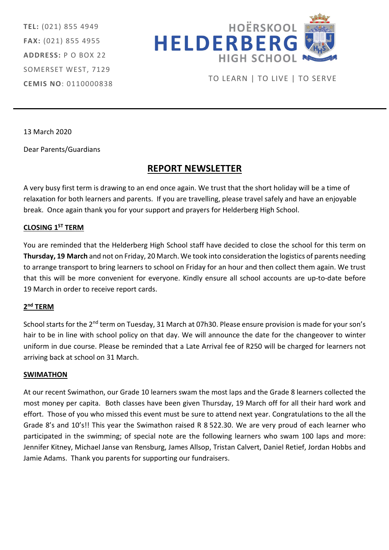TEL: (021) 855 4949 FAX: (021) 855 4955 ADDRESS: P O BOX 22 SOMERSET WEST, 7129 CEMIS NO: 0110000838



TO LEARN | TO LIVE | TO SERVE

13 March 2020

Dear Parents/Guardians

# REPORT NEWSLETTER

A very busy first term is drawing to an end once again. We trust that the short holiday will be a time of relaxation for both learners and parents. If you are travelling, please travel safely and have an enjoyable break. Once again thank you for your support and prayers for Helderberg High School.

## CLOSING 1ST TERM

You are reminded that the Helderberg High School staff have decided to close the school for this term on Thursday, 19 March and not on Friday, 20 March. We took into consideration the logistics of parents needing to arrange transport to bring learners to school on Friday for an hour and then collect them again. We trust that this will be more convenient for everyone. Kindly ensure all school accounts are up-to-date before 19 March in order to receive report cards.

### 2<sup>nd</sup> TERM

School starts for the 2<sup>nd</sup> term on Tuesday, 31 March at 07h30. Please ensure provision is made for your son's hair to be in line with school policy on that day. We will announce the date for the changeover to winter uniform in due course. Please be reminded that a Late Arrival fee of R250 will be charged for learners not arriving back at school on 31 March.

#### SWIMATHON

At our recent Swimathon, our Grade 10 learners swam the most laps and the Grade 8 learners collected the most money per capita. Both classes have been given Thursday, 19 March off for all their hard work and effort. Those of you who missed this event must be sure to attend next year. Congratulations to the all the Grade 8's and 10's!! This year the Swimathon raised R 8 522.30. We are very proud of each learner who participated in the swimming; of special note are the following learners who swam 100 laps and more: Jennifer Kitney, Michael Janse van Rensburg, James Allsop, Tristan Calvert, Daniel Retief, Jordan Hobbs and Jamie Adams. Thank you parents for supporting our fundraisers.